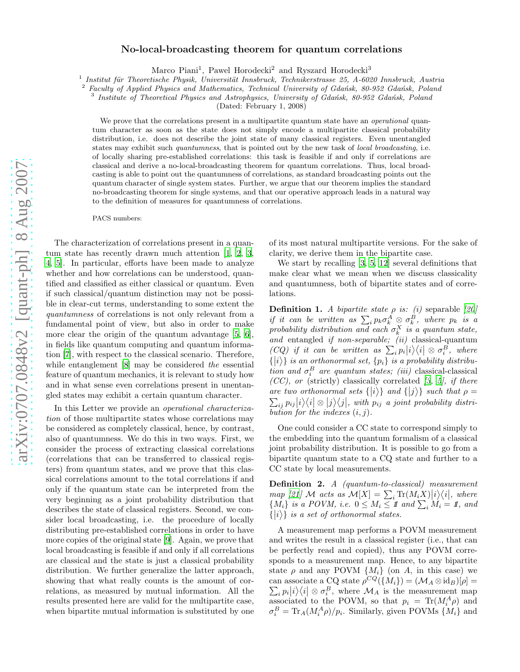## arXiv:0707.0848v2 [quant-ph] 8 Aug 2007 [arXiv:0707.0848v2 \[quant-ph\] 8 Aug 2007](http://arXiv.org/abs/0707.0848v2)

## No-local-broadcasting theorem for quantum correlations

Marco Piani<sup>1</sup>, Pawel Horodecki<sup>2</sup> and Ryszard Horodecki<sup>3</sup>

<sup>1</sup> Institut für Theoretische Physik, Universität Innsbruck, Technikerstrasse 25, A-6020 Innsbruck, Austria

<sup>2</sup> Faculty of Applied Physics and Mathematics, Technical University of Gdańsk, 80-952 Gdańsk, Poland

<sup>3</sup> Institute of Theoretical Physics and Astrophysics, University of Gdańsk, 80-952 Gdańsk, Poland

(Dated: February 1, 2008)

We prove that the correlations present in a multipartite quantum state have an *operational* quantum character as soon as the state does not simply encode a multipartite classical probability distribution, i.e. does not describe the joint state of many classical registers. Even unentangled states may exhibit such *quantumness*, that is pointed out by the new task of *local broadcasting*, i.e. of locally sharing pre-established correlations: this task is feasible if and only if correlations are classical and derive a no-local-broadcasting theorem for quantum correlations. Thus, local broadcasting is able to point out the quantumness of correlations, as standard broadcasting points out the quantum character of single system states. Further, we argue that our theorem implies the standard no-broadcasting theorem for single systems, and that our operative approach leads in a natural way to the definition of measures for quantumness of correlations.

PACS numbers:

The characterization of correlations present in a quantum state has recently drawn much attention [\[1](#page-3-0), [2,](#page-3-1) [3](#page-3-2), [4](#page-4-0), [5](#page-4-1)]. In particular, efforts have been made to analyze whether and how correlations can be understood, quantified and classified as either classical or quantum. Even if such classical/quantum distinction may not be possible in clear-cut terms, understanding to some extent the *quantumness* of correlations is not only relevant from a fundamental point of view, but also in order to make more clear the origin of the quantum advantage [\[5](#page-4-1), [6\]](#page-4-2), in fields like quantum computing and quantum information [\[7\]](#page-4-3), with respect to the classical scenario. Therefore, while entanglement [\[8](#page-4-4)] may be considered *the* essential feature of quantum mechanics, it is relevant to study how and in what sense even correlations present in unentangled states may exhibit a certain quantum character.

In this Letter we provide an *operational characterization* of those multipartite states whose correlations may be considered as completely classical, hence, by contrast, also of quantumness. We do this in two ways. First, we consider the process of extracting classical correlations (correlations that can be transferred to classical registers) from quantum states, and we prove that this classical correlations amount to the total correlations if and only if the quantum state can be interpreted from the very beginning as a joint probability distribution that describes the state of classical registers. Second, we consider local broadcasting, i.e. the procedure of locally distributing pre-established correlations in order to have more copies of the original state [\[9](#page-4-5)]. Again, we prove that local broadcasting is feasible if and only if all correlations are classical and the state is just a classical probability distribution. We further generalize the latter approach, showing that what really counts is the amount of correlations, as measured by mutual information. All the results presented here are valid for the multipartite case, when bipartite mutual information is substituted by one

of its most natural multipartite versions. For the sake of clarity, we derive them in the bipartite case.

We start by recalling [\[3,](#page-3-2) [5,](#page-4-1) [12\]](#page-4-6) several definitions that make clear what we mean when we discuss classicality and quantumness, both of bipartite states and of correlations.

**Definition 1.** *A bipartite state*  $\rho$  *is:* (*i*) separable [\[20](#page-4-7)] *if it can be written as*  $\sum_i p_k \sigma_k^A \otimes \sigma_k^B$ , where  $p_k$  *is a probability distribution and each*  $\sigma_k^X$  *is a quantum state, and* entangled *if non-separable; (ii)* classical-quantum *(CQ)* if it can be written as  $\sum_i p_i |i\rangle\langle i| \otimes \sigma_i^B$ , where  $\{|i\rangle\}$  *is an orthonormal set,*  $\{p_i\}$  *is a probability distribution and*  $\sigma_i^B$  *are quantum states; (iii)* classical-classical *(CC), or* (strictly) classically correlated *[\[3](#page-3-2), [5\]](#page-4-1), if there are two orthonormal sets*  $\{|i\rangle\}$  *and*  $\{|j\rangle\}$  *such that*  $\rho =$  $\sum_{i,j} p_{ij} |i\rangle\langle i| \otimes |j\rangle\langle j|$ , with  $p_{ij}$  a joint probability distri*bution for the indexes* (i, j)*.*

One could consider a CC state to correspond simply to the embedding into the quantum formalism of a classical joint probability distribution. It is possible to go from a bipartite quantum state to a CQ state and further to a CC state by local measurements.

Definition 2. *A (quantum-to-classical) measurement*  $\begin{bmatrix} \textit{map} \end{bmatrix}$  *[21]* M acts as  $\mathcal{M}[X] = \sum_i \text{Tr}(M_i X) |i\rangle\langle i|$ , where  $\{M_i\}$  is a POVM, i.e.  $0 \leq M_i \leq 11$  and  $\sum_i M_i = 11$ , and  $\{|i\rangle\}$  is a set of orthonormal states.

A measurement map performs a POVM measurement and writes the result in a classical register (i.e., that can be perfectly read and copied), thus any POVM corresponds to a measurement map. Hence, to any bipartite state  $\rho$  and any POVM  $\{M_i\}$  (on A, in this case) we can associate a CQ state  $\rho^{CQ}(\{M_i\}) = (\mathcal{M}_A \otimes id_B)[\rho] =$  $\sum_i p_i |i\rangle\langle i| \otimes \sigma_i^B$ , where  $\mathcal{M}_A$  is the measurement map associated to the POVM, so that  $p_i = \text{Tr}(M_i^A \rho)$  and  $\sigma_i^B = \text{Tr}_A(M_i^A \rho)/p_i$ . Similarly, given POVMs  $\{M_i\}$  and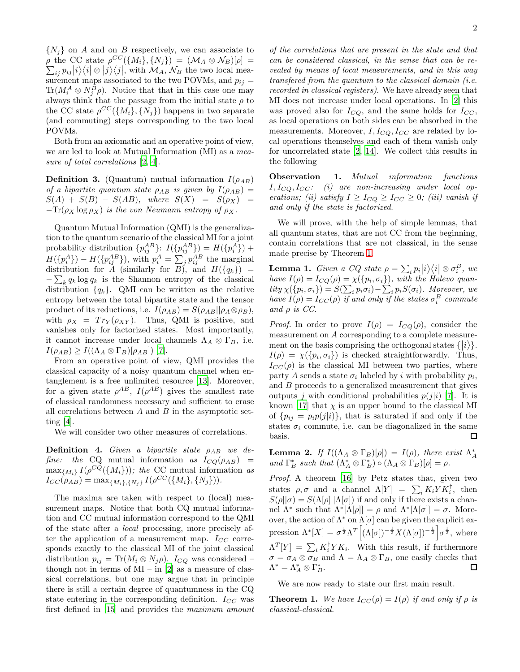$\{N_j\}$  on A and on B respectively, we can associate to  $\rho$  the CC state  $\rho^{CC}(\{M_i\}, \{N_j\}) = (\mathcal{M}_A \otimes \mathcal{N}_B)[\rho] =$  $\sum_{ij} p_{ij} |i\rangle\langle i| \otimes |j\rangle\langle j|$ , with  $\mathcal{M}_A$ ,  $\mathcal{N}_B$  the two local measurement maps associated to the two POVMs, and  $p_{ij} =$  $\text{Tr}(M_i^A \otimes N_j^B \rho)$ . Notice that that in this case one may always think that the passage from the initial state  $\rho$  to the CC state  $\rho^{CC}(\{M_i\}, \{N_j\})$  happens in two separate (and commuting) steps corresponding to the two local POVMs.

Both from an axiomatic and an operative point of view, we are led to look at Mutual Information (MI) as a *measure of total correlations* [\[2](#page-3-1), [4](#page-4-0)].

**Definition 3.** (Quantum) mutual information  $I(\rho_{AB})$ *of a bipartite quantum state*  $\rho_{AB}$  *is given by*  $I(\rho_{AB}) =$  $S(A) + S(B) - S(AB)$ , where  $S(X) = S(\rho_X) =$  $-\text{Tr}(\rho_X \log \rho_X)$  *is the von Neumann entropy of*  $\rho_X$ .

Quantum Mutual Information (QMI) is the generalization to the quantum scenario of the classical MI for a joint probability distribution  $\{p_{ij}^{AB}\}\$ :  $I(\{p_{ij}^{AB}\}) = H(\{p_i^A\}) +$  $H({p_i^A}) - H({p_{ij}^{AB}})$ , with  $p_i^A = \sum_j p_{ij}^{AB}$  the marginal distribution for  $\tilde{A}$  (similarly for  $B$ ), and  $H({q_k})$  =  $-\sum_k q_k \log q_k$  is the Shannon entropy of the classical distribution  ${q_k}$ . QMI can be written as the relative entropy between the total bipartite state and the tensor product of its reductions, i.e.  $I(\rho_{AB}) = S(\rho_{AB}|| \rho_A \otimes \rho_B),$ with  $\rho_X = Tr_Y(\rho_{XY})$ . Thus, QMI is positive, and vanishes only for factorized states. Most importantly, it cannot increase under local channels  $\Lambda_A \otimes \Gamma_B$ , i.e.  $I(\rho_{AB}) \geq I((\Lambda_A \otimes \Gamma_B)[\rho_{AB}])$  [\[7](#page-4-3)].

From an operative point of view, QMI provides the classical capacity of a noisy quantum channel when entanglement is a free unlimited resource [\[13\]](#page-4-9). Moreover, for a given state  $\rho^{AB}$ ,  $I(\rho^{AB})$  gives the smallest rate of classical randomness necessary and sufficient to erase all correlations between  $A$  and  $B$  in the asymptotic setting [\[4](#page-4-0)].

We will consider two other measures of correlations.

**Definition 4.** *Given a bipartite state*  $\rho_{AB}$  *we define:* the CQ mutual information *as*  $I_{CQ}(\rho_{AB})$  =  $\max_{\{M_i\}} I(\rho^{CQ}(\{M_i\}))$ ; the CC mutual information as  $I_{CC}(\rho_{AB}) = \max_{\{M_i\},\{N_j\}} I(\rho^{CC}(\{M_i\}, \{N_j\})).$ 

The maxima are taken with respect to (local) measurement maps. Notice that both CQ mutual information and CC mutual information correspond to the QMI of the state after a *local* processing, more precisely after the application of a measurement map.  $I_{CC}$  corresponds exactly to the classical MI of the joint classical distribution  $p_{ij} = \text{Tr}(M_i \otimes N_j \rho)$ .  $I_{CO}$  was considered – though not in terms of  $MI - in$  [\[2\]](#page-3-1) as a measure of classical correlations, but one may argue that in principle there is still a certain degree of quantumness in the CQ state entering in the corresponding definition.  $I_{CC}$  was first defined in [\[15](#page-4-10)] and provides the *maximum amount*

*of the correlations that are present in the state and that can be considered classical, in the sense that can be revealed by means of local measurements, and in this way transfered from the quantum to the classical domain (i.e. recorded in classical registers)*. We have already seen that MI does not increase under local operations. In [\[2\]](#page-3-1) this was proved also for  $I_{CO}$ , and the same holds for  $I_{CC}$ , as local operations on both sides can be absorbed in the measurements. Moreover,  $I, I_{CO}, I_{CC}$  are related by local operations themselves and each of them vanish only for uncorrelated state [\[2,](#page-3-1) [14\]](#page-4-11). We collect this results in the following

<span id="page-1-3"></span>Observation 1. *Mutual information functions* I, ICQ, ICC *: (i) are non-increasing under local operations; (ii) satisfy*  $I \geq I_{CQ} \geq I_{CC} \geq 0$ ; *(iii) vanish if and only if the state is factorized.*

We will prove, with the help of simple lemmas, that all quantum states, that are not CC from the beginning, contain correlations that are not classical, in the sense made precise by Theorem [1.](#page-1-0)

<span id="page-1-2"></span>**Lemma 1.** *Given a CQ state*  $\rho = \sum_i p_i |i\rangle\langle i| \otimes \sigma_i^B$ , we *have*  $I(\rho) = I_{CQ}(\rho) = \chi(\lbrace p_i, \sigma_i \rbrace)$ *, with the Holevo quan-* $\text{tity } \chi(\{p_i, \sigma_i\}) = S(\sum_i p_i \sigma_i) - \sum_i p_i S(\sigma_i)$ *. Moreover, we*  $have I(\rho) = I_{CC}(\rho)$  *if and only if the states*  $\sigma_i^B$  *commute and* ρ *is CC.*

*Proof.* In order to prove  $I(\rho) = I_{CQ}(\rho)$ , consider the measurement on A corresponding to a complete measurement on the basis comprising the orthogonal states  $\{|i\rangle\}$ .  $I(\rho) = \chi(\lbrace p_i, \sigma_i \rbrace)$  is checked straightforwardly. Thus,  $I_{CC}(\rho)$  is the classical MI between two parties, where party A sends a state  $\sigma_i$  labeled by i with probability  $p_i$ , and B proceeds to a generalized measurement that gives outputs j with conditional probabilities  $p(j|i)$  [\[7\]](#page-4-3). It is known [\[17](#page-4-12)] that  $\chi$  is an upper bound to the classical MI of  $\{p_{ij} = p_i p(j|i)\}\$ , that is saturated if and only if the states  $\sigma_i$  commute, i.e. can be diagonalized in the same basis.  $\Box$ 

<span id="page-1-1"></span>**Lemma 2.** *If*  $I((\Lambda_A \otimes \Gamma_B)[\rho]) = I(\rho)$ , there exist  $\Lambda_A^*$ *and*  $\Gamma_B^*$  *such that*  $(\Lambda_A^* \otimes \Gamma_B^*) \circ (\Lambda_A \otimes \Gamma_B)[\rho] = \rho$ .

*Proof.* A theorem [\[16\]](#page-4-13) by Petz states that, given two states  $\rho, \sigma$  and a channel  $\Lambda[Y] = \sum_i K_i Y K_i^{\dagger}$ , then  $S(\rho||\sigma) = S(\Lambda[\rho]||\Lambda[\sigma])$  if and only if there exists a channel  $\Lambda^*$  such that  $\Lambda^*[\Lambda[\rho]] = \rho$  and  $\Lambda^*[\Lambda[\sigma]] = \sigma$ . Moreover, the action of  $\Lambda^*$  on  $\Lambda[\sigma]$  can be given the explicit expression  $\Lambda^*[X] = \sigma^{\frac{1}{2}} \Lambda^T \left[ (\Lambda[\sigma])^{-\frac{1}{2}} X (\Lambda[\sigma])^{-\frac{1}{2}} \right] \sigma^{\frac{1}{2}}$ , where  $\Lambda^T[Y] = \sum_i K_i^{\dagger} Y K_i$ . With this result, if furthermore  $\sigma = \sigma_A \otimes \sigma_B$  and  $\Lambda = \Lambda_A \otimes \Gamma_B$ , one easily checks that  $\Lambda^* = \Lambda^*_A \otimes \Gamma^*_B.$  $\Box$ 

<span id="page-1-0"></span>We are now ready to state our first main result.

**Theorem 1.** *We have*  $I_{CC}(\rho) = I(\rho)$  *if and only if*  $\rho$  *is classical-classical.*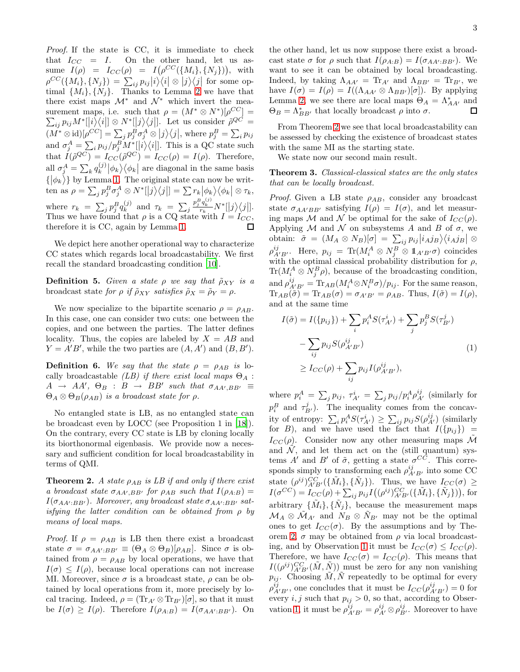*Proof.* If the state is CC, it is immediate to check that  $I_{CC} = I$ . On the other hand, let us assume  $I(\rho) = I_{CC}(\rho) = I(\rho^{CC}(\{M_i\}, \{N_j\}))$ , with  $\rho^{CC}(\{M_i\}, \{N_j\}) = \sum_{i,j} p_{ij} |i\rangle\langle i| \otimes |j\rangle\langle j|$  for some optimal  $\{M_i\}, \{N_j\}$ . Thanks to Lemma [2](#page-1-1) we have that there exist maps  $\mathcal{M}^*$  and  $\mathcal{N}^*$  which invert the measurement maps, i.e. such that  $\rho = (M^* \otimes N^*)[\rho^{CC}] =$  $\sum_{ij} p_{ij} M^*[[i]\rangle\langle i]] \otimes N^*[[j]\rangle\langle j]]$ . Let us consider  $\tilde{\rho}^{QC} =$  $(M^* \otimes id)[\rho^{CC}] = \sum_j p_j^B \sigma_j^A \otimes |j\rangle\langle j|$ , where  $p_j^B = \sum_i p_{ij}$ and  $\sigma_j^A = \sum_i p_{ij} / p_j^B M^*[[i\rangle\langle i]]$ . This is a QC state such that  $I(\tilde{\rho}^{QC}) = I_{CC}(\tilde{\rho}^{QC}) = I_{CC}(\rho) = I(\rho)$ . Therefore, all  $\sigma_j^A = \sum_k q_k^{(j)} |\phi_k\rangle \langle \phi_k|$  are diagonal in the same basis  $\{\ket{\phi_k}\}\$  by Lemma [1.](#page-1-2) The original state can now be written as  $\rho = \sum_j p_j^B \sigma_j^A \otimes N^*[[j]\rangle\langle j|] = \sum_r k |\phi_k\rangle\langle\phi_k| \otimes \tau_k$ ,  $\frac{p_j^B q_k^{(j)}}{r_k} N^* [ |j\rangle \langle j| ].$ where  $r_k = \sum_j p_j^B q_k^{(j)}$  and  $\tau_k = \sum_j$ Thus we have found that  $\rho$  is a CQ state with  $I = I_{CC}$ , therefore it is CC, again by Lemma [1.](#page-1-2) П

We depict here another operational way to characterize CC states which regards local broadcastability. We first recall the standard broadcasting condition [\[10\]](#page-4-14).

**Definition 5.** Given a state  $\rho$  we say that  $\tilde{\rho}_{XY}$  is a broadcast state *for*  $\rho$  *if*  $\tilde{\rho}_{XY}$  *satisfies*  $\tilde{\rho}_X = \tilde{\rho}_Y = \rho$ .

We now specialize to the bipartite scenario  $\rho = \rho_{AB}$ . In this case, one can consider two cuts: one between the copies, and one between the parties. The latter defines locality. Thus, the copies are labeled by  $X = AB$  and  $Y = A'B'$ , while the two parties are  $(A, A')$  and  $(B, B')$ .

**Definition 6.** We say that the state  $\rho = \rho_{AB}$  is locally broadcastable *(LB)* if there exist local maps  $\Theta_A$ :  $A \rightarrow AA', \Theta_B : B \rightarrow BB'$  such that  $\sigma_{AA',BB'} \equiv$  $\Theta_A \otimes \Theta_B(\rho_{AB})$  *is a broadcast state for*  $\rho$ *.* 

No entangled state is LB, as no entangled state can be broadcast even by LOCC (see Proposition 1 in [\[18\]](#page-4-15)). On the contrary, every CC state is LB by cloning locally its biorthonormal eigenbasis. We provide now a necessary and sufficient condition for local broadcastability in terms of QMI.

<span id="page-2-0"></span>**Theorem 2.** *A state*  $\rho_{AB}$  *is LB if and only if there exist a* broadcast state  $\sigma_{AA',BB'}$  for  $\rho_{AB}$  such that  $I(\rho_{A:B}) =$  $I(\sigma_{AA':BB'})$ *. Moreover, any broadcast state*  $\sigma_{AA':BB'}$  sat*isfying the latter condition can be obtained from* ρ *by means of local maps.*

*Proof.* If  $\rho = \rho_{AB}$  is LB then there exist a broadcast state  $\sigma = \sigma_{AA':BB'} \equiv (\Theta_A \otimes \Theta_B)[\rho_{AB}]$ . Since  $\sigma$  is obtained from  $\rho = \rho_{AB}$  by local operations, we have that  $I(\sigma) \leq I(\rho)$ , because local operations can not increase MI. Moreover, since  $\sigma$  is a broadcast state,  $\rho$  can be obtained by local operations from it, more precisely by local tracing. Indeed,  $\rho = (\text{Tr}_{A'} \otimes \text{Tr}_{B'})[\sigma]$ , so that it must be  $I(\sigma) \geq I(\rho)$ . Therefore  $I(\rho_{A:B}) = I(\sigma_{AA':BB'})$ . On

the other hand, let us now suppose there exist a broadcast state  $\sigma$  for  $\rho$  such that  $I(\rho_{A:B}) = I(\sigma_{AA':BB'})$ . We want to see it can be obtained by local broadcasting. Indeed, by taking  $\Lambda_{AA'} = \text{Tr}_{A'}$  and  $\Lambda_{BB'} = \text{Tr}_{B'}$ , we have  $I(\sigma) = I(\rho) = I((\Lambda_{AA'} \otimes \Lambda_{BB'})[\sigma])$ . By applying Lemma [2,](#page-1-1) we see there are local maps  $\Theta_A = \Lambda^*_{AA'}$  and  $\Theta_B = \Lambda_{BB'}^*$  that locally broadcast  $\rho$  into  $\sigma$ .  $\Box$ 

From Theorem [2](#page-2-0) we see that local broadcastability can be assessed by checking the existence of broadcast states with the same MI as the starting state.

<span id="page-2-2"></span>We state now our second main result.

Theorem 3. *Classical-classical states are the only states that can be locally broadcast.*

*Proof.* Given a LB state  $\rho_{AB}$ , consider any broadcast state  $\sigma_{AA'BB'}$  satisfying  $I(\rho) = I(\sigma)$ , and let measuring maps M and N be optimal for the sake of  $I_{CC}(\rho)$ . Applying M and N on subsystems A and B of  $\sigma$ , we obtain:  $\tilde{\sigma} = (M_A \otimes N_B)[\sigma] = \sum_{ij} p_{ij} |i_A j_B\rangle \langle i_A j_B | \otimes$  $\rho_{A'B'}^{ij}$ . Here,  $p_{ij} = \text{Tr}(M_i^A \otimes N_j^B \otimes \mathbb{1}_{A'B'} \sigma)$  coincides with the optimal classical probability distribution for  $\rho$ ,  $\text{Tr}(M_i^A \otimes N_j^B \rho)$ , because of the broadcasting condition, and  $\rho_{A'B'}^{ij} = \text{Tr}_{AB}(M_i^A \otimes N_i^B \sigma) / p_{ij}$ . For the same reason,  $\text{Tr}_{AB}(\tilde{\sigma}) = \text{Tr}_{AB}(\sigma) = \sigma_{A'B'} = \rho_{AB}.$  Thus,  $I(\tilde{\sigma}) = I(\rho),$ and at the same time

<span id="page-2-1"></span>
$$
I(\tilde{\sigma}) = I(\{p_{ij}\}) + \sum_{i} p_i^A S(\tau_{A'}^i) + \sum_{j} p_j^B S(\tau_{B'}^j)
$$
  
- 
$$
\sum_{ij} p_{ij} S(\rho_{A'B'}^{ij})
$$
  

$$
\geq I_{CC}(\rho) + \sum_{ij} p_{ij} I(\rho_{A'B'}^{ij}),
$$
 (1)

where  $p_i^A = \sum_j p_{ij}, \ \tau_{A'}^i = \sum_j p_{ij} / p_i^A \rho_{A'}^{ij}$  (similarly for  $p_i^B$  and  $\tau_{B'}^j$ ). The inequality comes from the concavity of entropy:  $\sum_i p_i^A S(\tau_{A'}^i) \ge \sum_{ij} p_{ij} S(\rho_{A'}^{ij})$  (similarly for B), and we have used the fact that  $I(\{p_{ij}\}) =$  $I_{CC}(\rho)$ . Consider now any other measuring maps M and  $\mathcal N$ , and let them act on the (still quantum) systems  $A'$  and  $B'$  of  $\tilde{\sigma}$ , getting a state  $\sigma^{CC}$ . This corresponds simply to transforming each  $\rho_{A'B'}^{ij}$  into some CC state  $(\rho^{ij})_{A'B'}^{CC}(\{\tilde{M}_i\},\{\tilde{N}_j\})$ . Thus, we have  $I_{CC}(\sigma) \geq$  $I(\sigma^{CC}) = I_{CC}(\rho) + \sum_{ij} p_{ij} I((\rho^{ij})^{CC}_{A'B'}(\{\tilde{M}_i\}, \{\tilde{N}_j\}))$ , for arbitrary  $\{\tilde{M}_i\}, \{\tilde{N}_j\},\$  because the measurement maps  $\mathcal{M}_A \otimes \mathcal{M}_{A'}$  and  $N_B \otimes N_{B'}$  may not be the optimal ones to get  $I_{CC}(\sigma)$ . By the assumptions and by The-orem [2,](#page-2-0)  $\sigma$  may be obtained from  $\rho$  via local broadcast-ing, and by Observation [1](#page-1-3) it must be  $I_{CC}(\sigma) \leq I_{CC}(\rho)$ . Therefore, we have  $I_{CC}(\sigma) = I_{CC}(\rho)$ . This means that  $I((\rho^{ij})^{CC}_{A'B'}(\tilde{M}, \tilde{N}))$  must be zero for any non vanishing  $p_{ij}$ . Choosing  $\tilde{M}, \tilde{N}$  repeatedly to be optimal for every  $\rho_{A'B'}^{ij}$ , one concludes that it must be  $I_{CC}(\rho_{A'B'}^{ij}) = 0$  for every  $i, j$  such that  $p_{ij} > 0$ , so that, according to Obser-vation [1,](#page-1-3) it must be  $\rho_{A'B'}^{ij} = \rho_{A'}^{ij} \otimes \rho_{B'}^{ij}$ . Moreover to have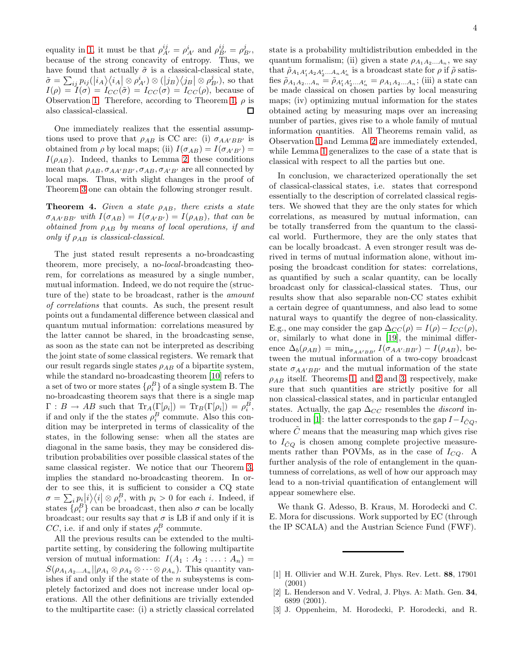equality in [1,](#page-2-1) it must be that  $\rho_{A'}^{ij} = \rho_{A'}^i$  and  $\rho_{B'}^{ij} = \rho_{B'}^j$ , because of the strong concavity of entropy. Thus, we have found that actually  $\tilde{\sigma}$  is a classical-classical state,  $\tilde{\sigma} = \sum_{ij} p_{ij} (|i_A\rangle\langle i_A| \otimes \rho^i_{A'}) \otimes (|j_B\rangle\langle j_B| \otimes \rho^j_{B'})$ , so that  $I(\rho) = I(\sigma) = I_{CC}(\tilde{\sigma}) = I_{CC}(\sigma) = I_{CC}(\rho)$ , because of Observation [1.](#page-1-3) Therefore, according to Theorem [1,](#page-1-0)  $\rho$  is also classical-classical. П

One immediately realizes that the essential assumptions used to prove that  $\rho_{AB}$  is CC are: (i)  $\sigma_{AA'BB'}$  is obtained from  $\rho$  by local maps; (ii)  $I(\sigma_{AB}) = I(\sigma_{A'B'})$  $I(\rho_{AB})$ . Indeed, thanks to Lemma [2,](#page-1-1) these conditions mean that  $\rho_{AB}, \sigma_{AA'BB'}, \sigma_{AB}, \sigma_{A'B'}$  are all connected by local maps. Thus, with slight changes in the proof of Theorem [3](#page-2-2) one can obtain the following stronger result.

**Theorem 4.** *Given a state*  $\rho_{AB}$ *, there exists a state*  $\sigma_{AA'BB'}$  with  $I(\sigma_{AB}) = I(\sigma_{A'B'}) = I(\rho_{AB})$ , that can be *obtained from* ρAB *by means of local operations, if and only if*  $\rho_{AB}$  *is classical-classical.* 

The just stated result represents a no-broadcasting theorem, more precisely, a no-*local*-broadcasting theorem, for correlations as measured by a single number, mutual information. Indeed, we do not require the (structure of the) state to be broadcast, rather is the *amount of correlations* that counts. As such, the present result points out a fundamental difference between classical and quantum mutual information: correlations measured by the latter cannot be shared, in the broadcasting sense, as soon as the state can not be interpreted as describing the joint state of some classical registers. We remark that our result regards single states  $\rho_{AB}$  of a bipartite system, while the standard no-broadcasting theorem [\[10\]](#page-4-14) refers to a set of two or more states  $\{\rho_i^B\}$  of a single system B. The no-broadcasting theorem says that there is a single map  $\Gamma: B \to AB$  such that  $\text{Tr}_A(\Gamma[\rho_i]) = \text{Tr}_B(\Gamma[\rho_i]) = \rho_i^B$ , if and only if the the states  $\rho_i^B$  commute. Also this condition may be interpreted in terms of classicality of the states, in the following sense: when all the states are diagonal in the same basis, they may be considered distribution probabilities over possible classical states of the same classical register. We notice that our Theorem [3,](#page-2-2) implies the standard no-broadcasting theorem. In order to see this, it is sufficient to consider a CQ state  $\sigma = \sum_i p_i |i\rangle\langle i| \otimes \rho_i^B$ , with  $p_i > 0$  for each *i*. Indeed, if states  $\{\rho_i^B\}$  can be broadcast, then also  $\sigma$  can be locally broadcast; our results say that  $\sigma$  is LB if and only if it is  $CC$ , i.e. if and only if states  $\rho_i^B$  commute.

All the previous results can be extended to the multipartite setting, by considering the following multipartite version of mutual information:  $I(A_1 : A_2 : \ldots : A_n) =$  $S(\rho_{A_1A_2...A_n}||\rho_{A_1}\otimes\rho_{A_2}\otimes\cdots\otimes\rho_{A_n})$ . This quantity vanishes if and only if the state of the  $n$  subsystems is completely factorized and does not increase under local operations. All the other definitions are trivially extended to the multipartite case: (i) a strictly classical correlated

state is a probability multidistribution embedded in the quantum formalism; (ii) given a state  $\rho_{A_1A_2...A_n}$ , we say that  $\tilde{\rho}_{A_1 A'_1 A_2 A'_2 ... A_n A'_n}$  is a broadcast state for  $\rho$  if  $\tilde{\rho}$  satisfies  $\tilde{\rho}_{A_1 A_2 ... A_n} = \tilde{\rho}_{A'_1 A'_2 ... A'_n} = \rho_{A_1 A_2 ... A_n}$ ; (iii) a state can be made classical on chosen parties by local measuring maps; (iv) optimizing mutual information for the states obtained acting by measuring maps over an increasing number of parties, gives rise to a whole family of mutual information quantities. All Theorems remain valid, as Observation [1](#page-1-3) and Lemma [2](#page-1-1) are immediately extended, while Lemma [1](#page-1-2) generalizes to the case of a state that is classical with respect to all the parties but one.

In conclusion, we characterized operationally the set of classical-classical states, i.e. states that correspond essentially to the description of correlated classical registers. We showed that they are the only states for which correlations, as measured by mutual information, can be totally transferred from the quantum to the classical world. Furthermore, they are the only states that can be locally broadcast. A even stronger result was derived in terms of mutual information alone, without imposing the broadcast condition for states: correlations, as quantified by such a scalar quantity, can be locally broadcast only for classical-classical states. Thus, our results show that also separable non-CC states exhibit a certain degree of quantumness, and also lead to some natural ways to quantify the degree of non-classicality. E.g., one may consider the gap  $\Delta_{CC}(\rho) = I(\rho) - I_{CC}(\rho)$ , or, similarly to what done in [\[19\]](#page-4-16), the minimal difference  $\Delta_b(\rho_{AB}) = \min_{\sigma_{AA'BB'}} I(\sigma_{AA':BB'}) - I(\rho_{AB}),$  between the mutual information of a two-copy broadcast state  $\sigma_{AA'BB'}$  and the mutual information of the state  $\rho_{AB}$  itself. Theorems [1,](#page-1-0) and [2](#page-2-0) and [3,](#page-2-2) respectively, make sure that such quantities are strictly positive for all non classical-classical states, and in particular entangled states. Actually, the gap  $\Delta_{CC}$  resembles the *discord* in-troduced in [\[1\]](#page-3-0): the latter corresponds to the gap  $I-I_{\tilde{C}O}$ , where  $C$  means that the measuring map which gives rise to  $I_{\tilde{C}Q}$  is chosen among complete projective measurements rather than POVMs, as in the case of  $I_{CO}$ . A further analysis of the role of entanglement in the quantumness of correlations, as well of how our approach may lead to a non-trivial quantification of entanglement will appear somewhere else.

We thank G. Adesso, B. Kraus, M. Horodecki and C. E. Mora for discussions. Work supported by EC (through the IP SCALA) and the Austrian Science Fund (FWF).

<span id="page-3-2"></span>[3] J. Oppenheim, M. Horodecki, P. Horodecki, and R.

<span id="page-3-0"></span><sup>[1]</sup> H. Ollivier and W.H. Zurek, Phys. Rev. Lett. 88, 17901 (2001)

<span id="page-3-1"></span><sup>[2]</sup> L. Henderson and V. Vedral, J. Phys. A: Math. Gen. 34, 6899 (2001).